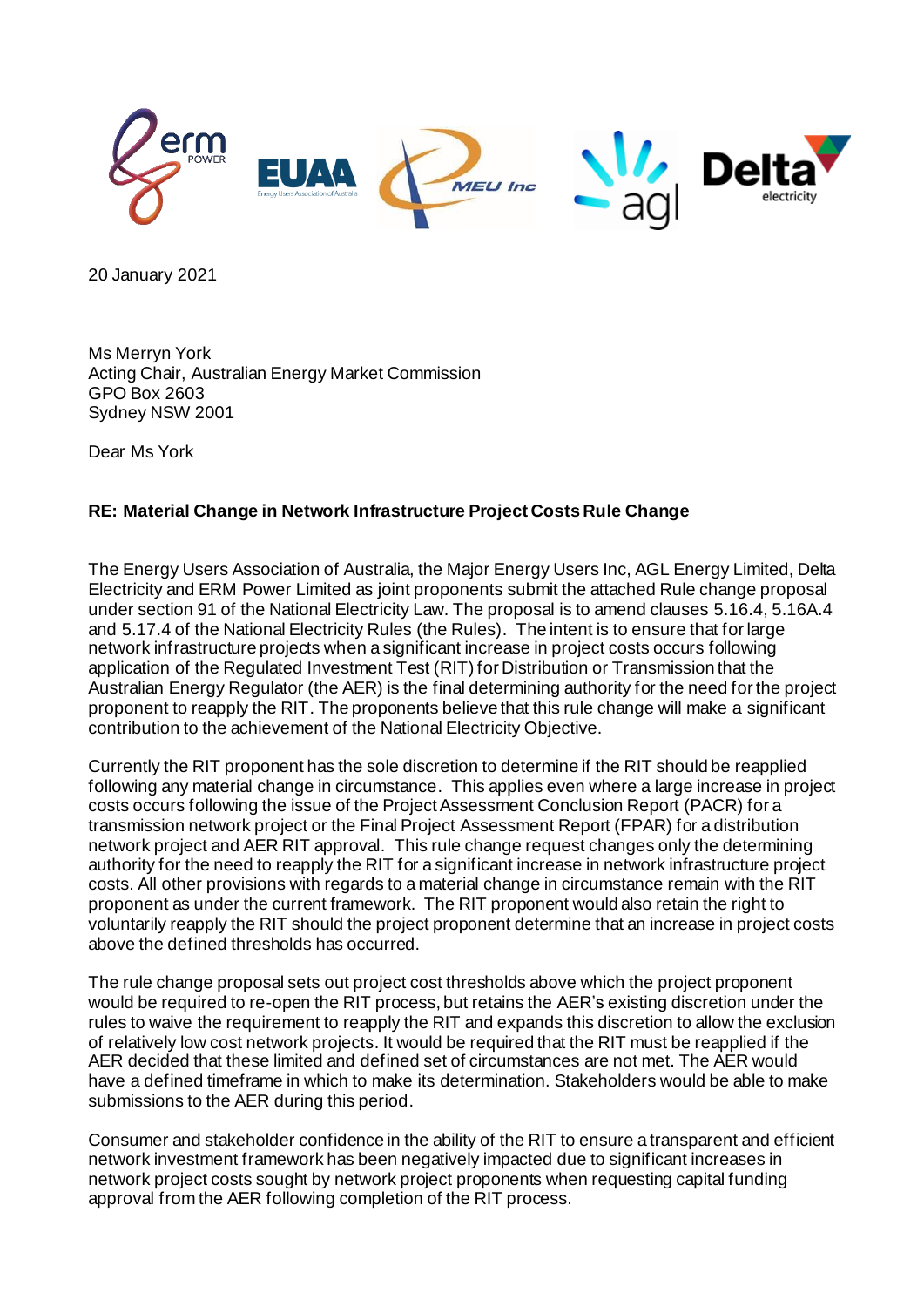

20 January 2021

Ms Merryn York Acting Chair, Australian Energy Market Commission GPO Box 2603 Sydney NSW 2001

Dear Ms York

#### **RE: Material Change in Network Infrastructure Project Costs Rule Change**

The Energy Users Association of Australia, the Major Energy Users Inc, AGL Energy Limited, Delta Electricity and ERM Power Limited as joint proponents submit the attached Rule change proposal under section 91 of the National Electricity Law. The proposal is to amend clauses 5.16.4, 5.16A.4 and 5.17.4 of the National Electricity Rules (the Rules). The intent is to ensure that for large network infrastructure projects when a significant increase in project costs occurs following application of the Regulated Investment Test (RIT) for Distribution or Transmission that the Australian Energy Regulator (the AER) is the final determining authority for the need for the project proponent to reapply the RIT. The proponents believe that this rule change will make a significant contribution to the achievement of the National Electricity Objective.

Currently the RIT proponent has the sole discretion to determine if the RIT should be reapplied following any material change in circumstance. This applies even where a large increase in project costs occurs following the issue of the Project Assessment Conclusion Report (PACR) for a transmission network project or the Final Project Assessment Report (FPAR) for a distribution network project and AER RIT approval. This rule change request changes only the determining authority for the need to reapply the RIT for a significant increase in network infrastructure project costs. All other provisions with regards to a material change in circumstance remain with the RIT proponent as under the current framework. The RIT proponent would also retain the right to voluntarily reapply the RIT should the project proponent determine that an increase in project costs above the defined thresholds has occurred.

The rule change proposal sets out project cost thresholds above which the project proponent would be required to re-open the RIT process, but retains the AER's existing discretion under the rules to waive the requirement to reapply the RIT and expands this discretion to allow the exclusion of relatively low cost network projects. It would be required that the RIT must be reapplied if the AER decided that these limited and defined set of circumstances are not met. The AER would have a defined timeframe in which to make its determination. Stakeholders would be able to make submissions to the AER during this period.

Consumer and stakeholder confidence in the ability of the RIT to ensure a transparent and efficient network investment framework has been negatively impacted due to significant increases in network project costs sought by network project proponents when requesting capital funding approval from the AER following completion of the RIT process.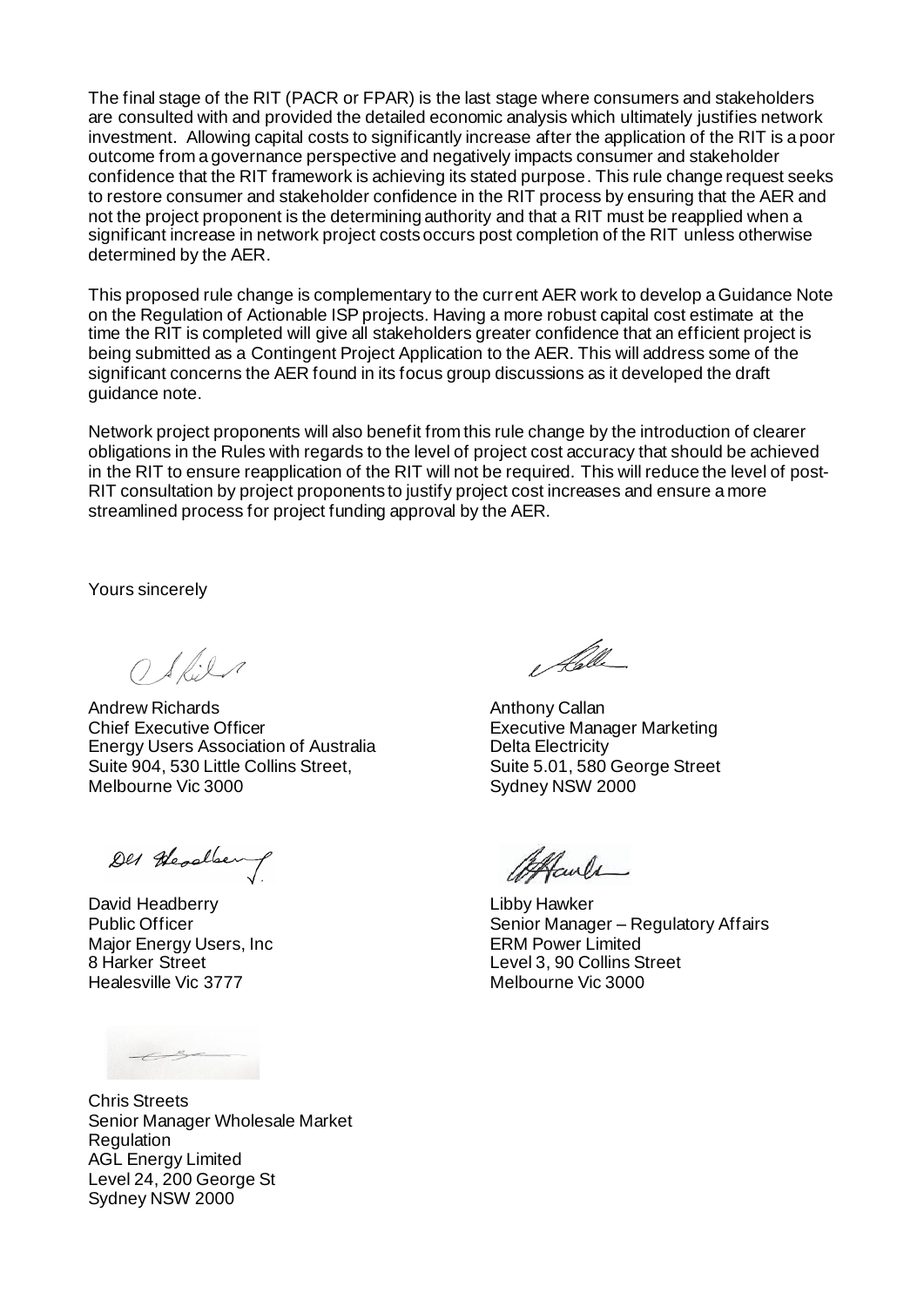The final stage of the RIT (PACR or FPAR) is the last stage where consumers and stakeholders are consulted with and provided the detailed economic analysis which ultimately justifies network investment. Allowing capital costs to significantly increase after the application of the RIT is a poor outcome from a governance perspective and negatively impacts consumer and stakeholder confidence that the RIT framework is achieving its stated purpose. This rule change request seeks to restore consumer and stakeholder confidence in the RIT process by ensuring that the AER and not the project proponent is the determining authority and that a RIT must be reapplied when a significant increase in network project costs occurs post completion of the RIT unless otherwise determined by the AER.

This proposed rule change is complementary to the current AER work to develop a Guidance Note on the Regulation of Actionable ISP projects. Having a more robust capital cost estimate at the time the RIT is completed will give all stakeholders greater confidence that an efficient project is being submitted as a Contingent Project Application to the AER. This will address some of the significant concerns the AER found in its focus group discussions as it developed the draft guidance note.

Network project proponents will also benefit from this rule change by the introduction of clearer obligations in the Rules with regards to the level of project cost accuracy that should be achieved in the RIT to ensure reapplication of the RIT will not be required. This will reduce the level of post-RIT consultation by project proponents to justify project cost increases and ensure a more streamlined process for project funding approval by the AER.

Yours sincerely

 $O$  Skile

Andrew Richards Chief Executive Officer Energy Users Association of Australia Suite 904, 530 Little Collins Street, Melbourne Vic 3000

Des Headlen

David Headberry Public Officer Major Energy Users, Inc 8 Harker Street Healesville Vic 3777

Chris Streets Senior Manager Wholesale Market **Regulation** AGL Energy Limited Level 24, 200 George St Sydney NSW 2000

l følle

Anthony Callan Executive Manager Marketing Delta Electricity Suite 5.01, 580 George Street Sydney NSW 2000

Haule

Libby Hawker Senior Manager – Regulatory Affairs ERM Power Limited Level 3, 90 Collins Street Melbourne Vic 3000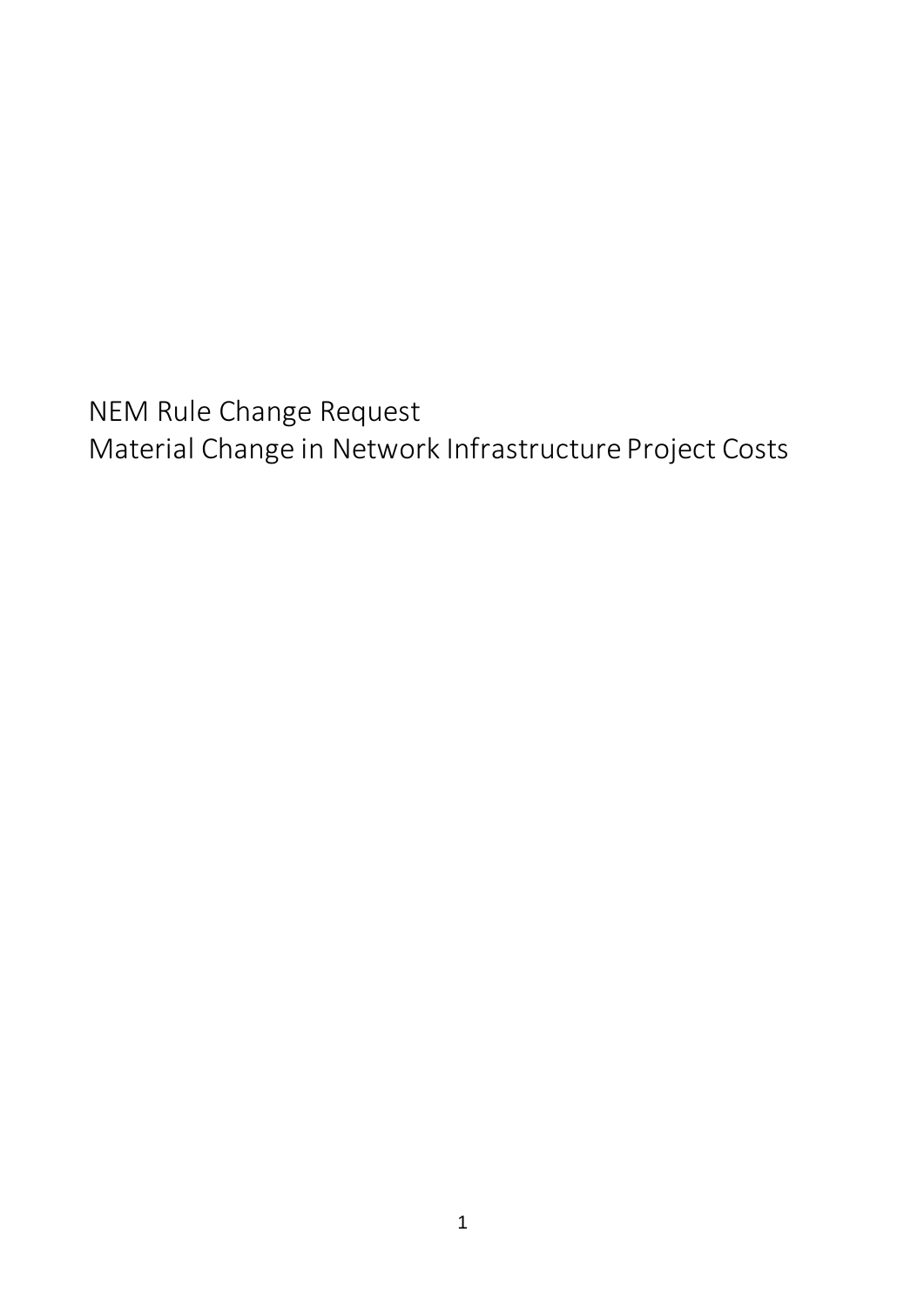NEM Rule Change Request Material Change in Network Infrastructure Project Costs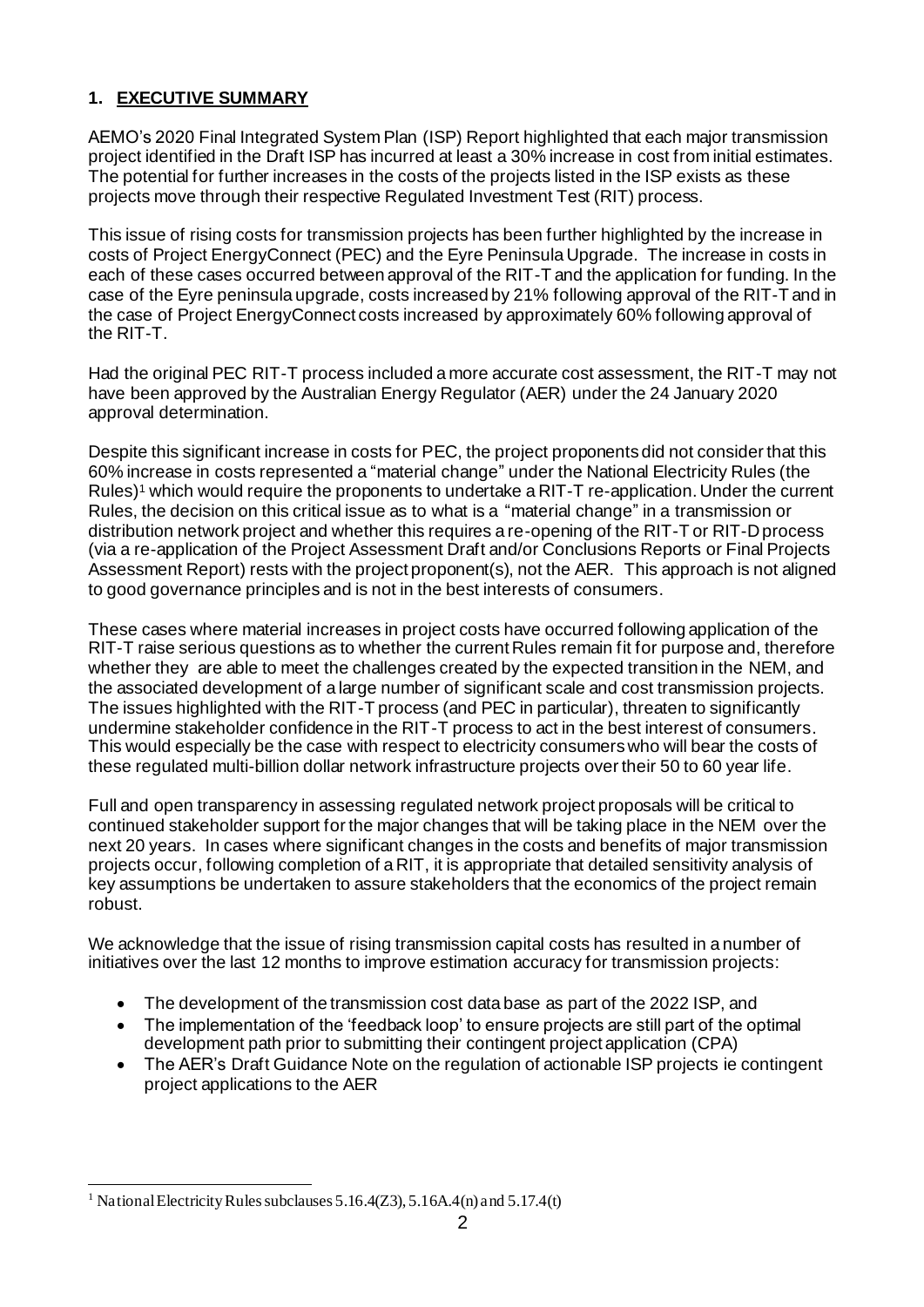# **1. EXECUTIVE SUMMARY**

AEMO's 2020 Final Integrated System Plan (ISP) Report highlighted that each major transmission project identified in the Draft ISP has incurred at least a 30% increase in cost from initial estimates. The potential for further increases in the costs of the projects listed in the ISP exists as these projects move through their respective Regulated Investment Test (RIT) process.

This issue of rising costs for transmission projects has been further highlighted by the increase in costs of Project EnergyConnect (PEC) and the Eyre Peninsula Upgrade. The increase in costs in each of these cases occurred between approval of the RIT-T and the application for funding. In the case of the Eyre peninsula upgrade, costs increased by 21% following approval of the RIT-T and in the case of Project EnergyConnect costs increased by approximately 60% following approval of the RIT-T.

Had the original PEC RIT-T process included a more accurate cost assessment, the RIT-T may not have been approved by the Australian Energy Regulator (AER) under the 24 January 2020 approval determination.

Despite this significant increase in costs for PEC, the project proponents did not consider that this 60% increase in costs represented a "material change" under the National Electricity Rules (the Rules) <sup>1</sup> which would require the proponents to undertake a RIT-T re-application. Under the current Rules, the decision on this critical issue as to what is a "material change" in a transmission or distribution network project and whether this requires a re-opening of the RIT-T or RIT-D process (via a re-application of the Project Assessment Draft and/or Conclusions Reports or Final Projects Assessment Report) rests with the project proponent(s), not the AER. This approach is not aligned to good governance principles and is not in the best interests of consumers.

These cases where material increases in project costs have occurred following application of the RIT-T raise serious questions as to whether the current Rules remain fit for purpose and, therefore whether they are able to meet the challenges created by the expected transition in the NEM, and the associated development of a large number of significant scale and cost transmission projects. The issues highlighted with the RIT-T process (and PEC in particular), threaten to significantly undermine stakeholder confidence in the RIT-T process to act in the best interest of consumers. This would especially be the case with respect to electricity consumers who will bear the costs of these regulated multi-billion dollar network infrastructure projects over their 50 to 60 year life.

Full and open transparency in assessing regulated network project proposals will be critical to continued stakeholder support for the major changes that will be taking place in the NEM over the next 20 years. In cases where significant changes in the costs and benefits of major transmission projects occur, following completion of a RIT, it is appropriate that detailed sensitivity analysis of key assumptions be undertaken to assure stakeholders that the economics of the project remain robust.

We acknowledge that the issue of rising transmission capital costs has resulted in a number of initiatives over the last 12 months to improve estimation accuracy for transmission projects:

- The development of the transmission cost data base as part of the 2022 ISP, and
- The implementation of the 'feedback loop' to ensure projects are still part of the optimal development path prior to submitting their contingent project application (CPA)
- The AER's Draft Guidance Note on the regulation of actionable ISP projects ie contingent project applications to the AER

<sup>&</sup>lt;sup>1</sup> National Electricity Rules subclauses 5.16.4( $Z$ 3), 5.16A.4(n) and 5.17.4(t)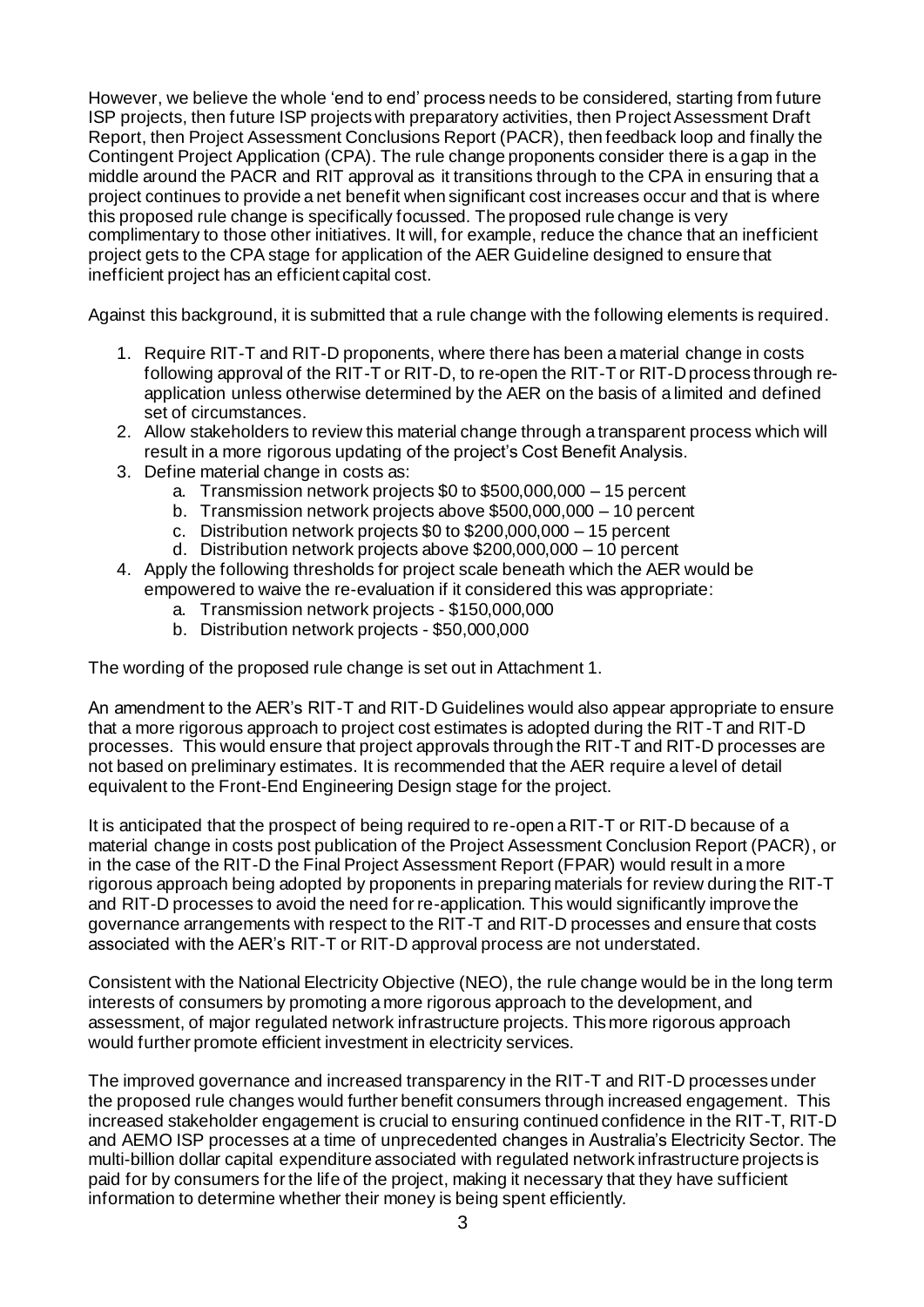However, we believe the whole 'end to end' process needs to be considered, starting from future ISP projects, then future ISP projects with preparatory activities, then Project Assessment Draft Report, then Project Assessment Conclusions Report (PACR), then feedback loop and finally the Contingent Project Application (CPA). The rule change proponents consider there is a gap in the middle around the PACR and RIT approval as it transitions through to the CPA in ensuring that a project continues to provide a net benefit when significant cost increases occur and that is where this proposed rule change is specifically focussed. The proposed rule change is very complimentary to those other initiatives. It will, for example, reduce the chance that an inefficient project gets to the CPA stage for application of the AER Guideline designed to ensure that inefficient project has an efficient capital cost.

Against this background, it is submitted that a rule change with the following elements is required.

- 1. Require RIT-T and RIT-D proponents, where there has been a material change in costs following approval of the RIT-T or RIT-D, to re-open the RIT-T or RIT-D process through reapplication unless otherwise determined by the AER on the basis of a limited and defined set of circumstances.
- 2. Allow stakeholders to review this material change through a transparent process which will result in a more rigorous updating of the project's Cost Benefit Analysis.
- 3. Define material change in costs as:
	- a. Transmission network projects \$0 to \$500,000,000 15 percent
	- b. Transmission network projects above \$500,000,000 10 percent
	- c. Distribution network projects \$0 to \$200,000,000 15 percent
	- d. Distribution network projects above \$200,000,000 10 percent
- 4. Apply the following thresholds for project scale beneath which the AER would be empowered to waive the re-evaluation if it considered this was appropriate:
	- a. Transmission network projects \$150,000,000
	- b. Distribution network projects \$50,000,000

The wording of the proposed rule change is set out in Attachment 1.

An amendment to the AER's RIT-T and RIT-D Guidelines would also appear appropriate to ensure that a more rigorous approach to project cost estimates is adopted during the RIT-T and RIT-D processes. This would ensure that project approvals through the RIT-T and RIT-D processes are not based on preliminary estimates. It is recommended that the AER require a level of detail equivalent to the Front-End Engineering Design stage for the project.

It is anticipated that the prospect of being required to re-open a RIT-T or RIT-D because of a material change in costs post publication of the Project Assessment Conclusion Report (PACR), or in the case of the RIT-D the Final Project Assessment Report (FPAR) would result in a more rigorous approach being adopted by proponents in preparing materials for review during the RIT-T and RIT-D processes to avoid the need for re-application. This would significantly improve the governance arrangements with respect to the RIT-T and RIT-D processes and ensure that costs associated with the AER's RIT-T or RIT-D approval process are not understated.

Consistent with the National Electricity Objective (NEO), the rule change would be in the long term interests of consumers by promoting a more rigorous approach to the development, and assessment, of major regulated network infrastructure projects. This more rigorous approach would further promote efficient investment in electricity services.

The improved governance and increased transparency in the RIT-T and RIT-D processes under the proposed rule changes would further benefit consumers through increased engagement. This increased stakeholder engagement is crucial to ensuring continued confidence in the RIT-T, RIT-D and AEMO ISP processes at a time of unprecedented changes in Australia's Electricity Sector. The multi-billion dollar capital expenditure associated with regulated network infrastructure projects is paid for by consumers for the life of the project, making it necessary that they have sufficient information to determine whether their money is being spent efficiently.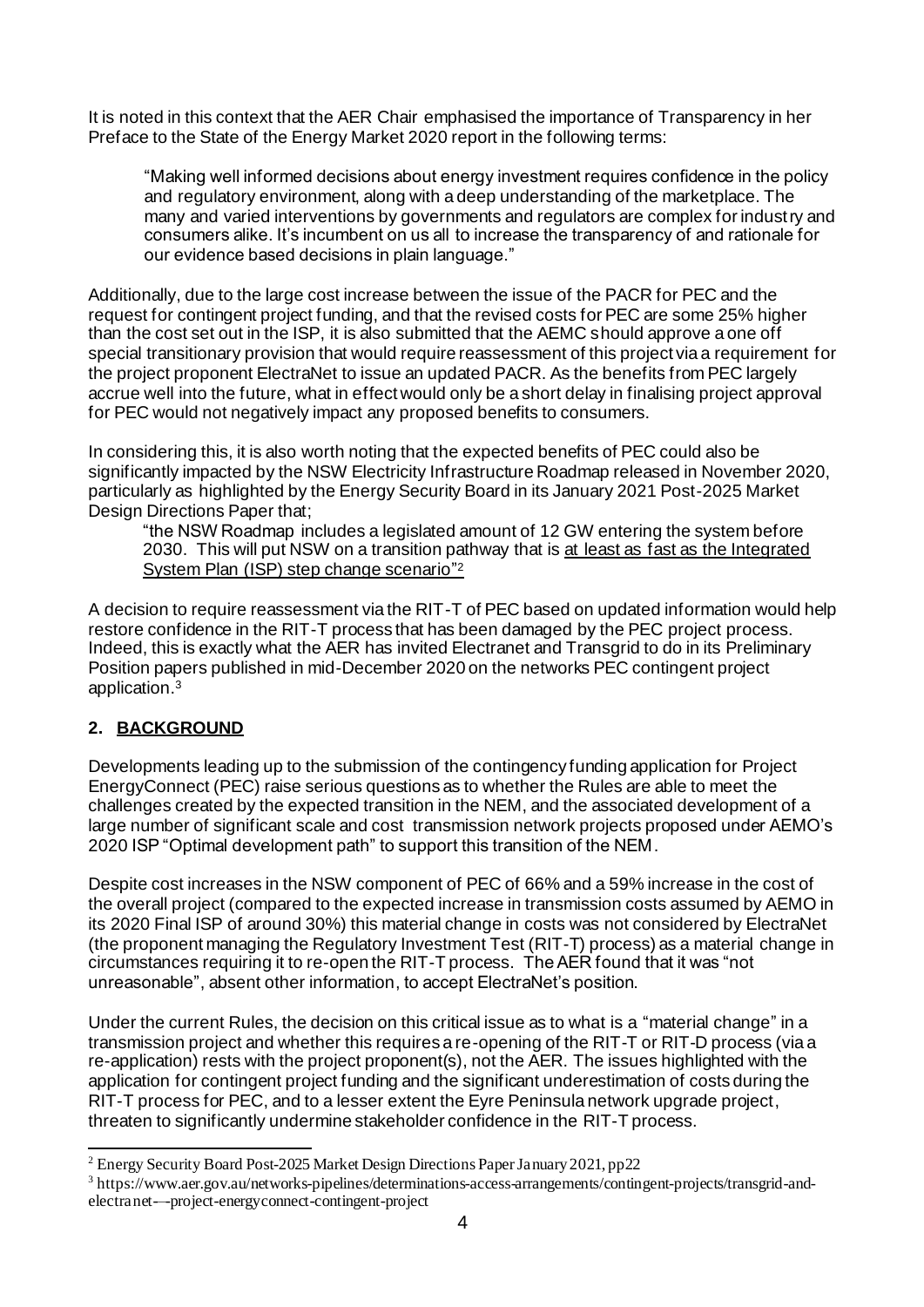It is noted in this context that the AER Chair emphasised the importance of Transparency in her Preface to the State of the Energy Market 2020 report in the following terms:

"Making well informed decisions about energy investment requires confidence in the policy and regulatory environment, along with a deep understanding of the marketplace. The many and varied interventions by governments and regulators are complex for industry and consumers alike. It's incumbent on us all to increase the transparency of and rationale for our evidence based decisions in plain language."

Additionally, due to the large cost increase between the issue of the PACR for PEC and the request for contingent project funding, and that the revised costs for PEC are some 25% higher than the cost set out in the ISP, it is also submitted that the AEMC should approve a one off special transitionary provision that would require reassessment of this project via a requirement for the project proponent ElectraNet to issue an updated PACR. As the benefits from PEC largely accrue well into the future, what in effect would only be a short delay in finalising project approval for PEC would not negatively impact any proposed benefits to consumers.

In considering this, it is also worth noting that the expected benefits of PEC could also be significantly impacted by the NSW Electricity Infrastructure Roadmap released in November 2020, particularly as highlighted by the Energy Security Board in its January 2021 Post-2025 Market Design Directions Paper that;

"the NSW Roadmap includes a legislated amount of 12 GW entering the system before 2030. This will put NSW on a transition pathway that is at least as fast as the Integrated System Plan (ISP) step change scenario"<sup>2</sup>

A decision to require reassessment via the RIT-T of PEC based on updated information would help restore confidence in the RIT-T process that has been damaged by the PEC project process. Indeed, this is exactly what the AER has invited Electranet and Transgrid to do in its Preliminary Position papers published in mid-December 2020 on the networks PEC contingent project application. 3

# **2. BACKGROUND**

Developments leading up to the submission of the contingency funding application for Project EnergyConnect (PEC) raise serious questions as to whether the Rules are able to meet the challenges created by the expected transition in the NEM, and the associated development of a large number of significant scale and cost transmission network projects proposed under AEMO's 2020 ISP "Optimal development path" to support this transition of the NEM.

Despite cost increases in the NSW component of PEC of 66% and a 59% increase in the cost of the overall project (compared to the expected increase in transmission costs assumed by AEMO in its 2020 Final ISP of around 30%) this material change in costs was not considered by ElectraNet (the proponent managing the Regulatory Investment Test (RIT-T) process) as a material change in circumstances requiring it to re-open the RIT-T process. The AER found that it was "not unreasonable", absent other information, to accept ElectraNet's position.

Under the current Rules, the decision on this critical issue as to what is a "material change" in a transmission project and whether this requires a re-opening of the RIT-T or RIT-D process (via a re-application) rests with the project proponent(s), not the AER. The issues highlighted with the application for contingent project funding and the significant underestimation of costs during the RIT-T process for PEC, and to a lesser extent the Eyre Peninsula network upgrade project, threaten to significantly undermine stakeholder confidence in the RIT-T process.

<sup>&</sup>lt;sup>2</sup> Energy Security Board Post-2025 Market Design Directions Paper January 2021, pp22

<sup>&</sup>lt;sup>3</sup> https://www.aer.gov.au/networks-pipelines/determinations-access-arrangements/contingent-projects/transgrid-andelectranet-–-project-energyconnect-contingent-project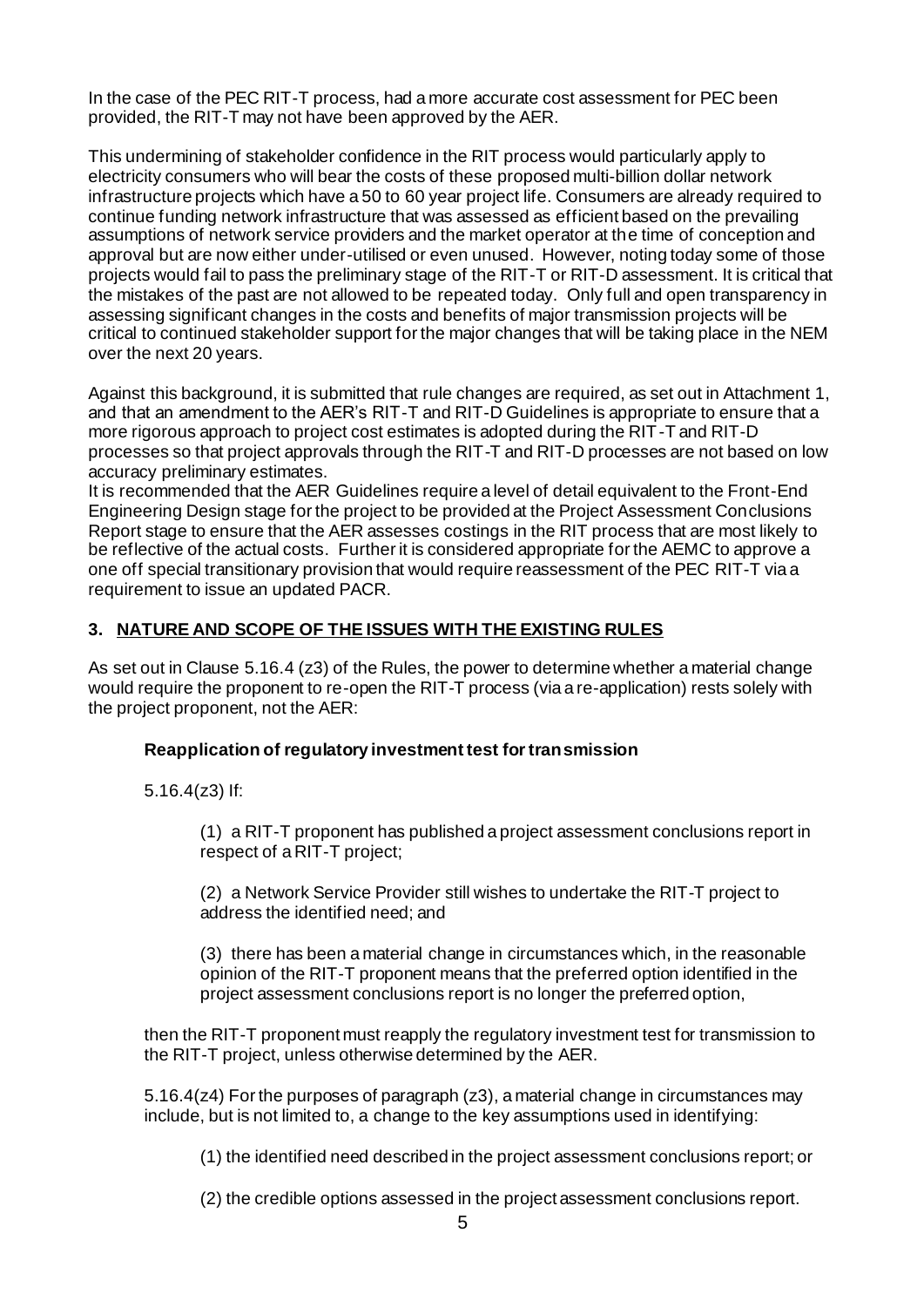In the case of the PEC RIT-T process, had a more accurate cost assessment for PEC been provided, the RIT-T may not have been approved by the AER.

This undermining of stakeholder confidence in the RIT process would particularly apply to electricity consumers who will bear the costs of these proposed multi-billion dollar network infrastructure projects which have a 50 to 60 year project life. Consumers are already required to continue funding network infrastructure that was assessed as efficient based on the prevailing assumptions of network service providers and the market operator at the time of conception and approval but are now either under-utilised or even unused. However, noting today some of those projects would fail to pass the preliminary stage of the RIT-T or RIT-D assessment. It is critical that the mistakes of the past are not allowed to be repeated today. Only full and open transparency in assessing significant changes in the costs and benefits of major transmission projects will be critical to continued stakeholder support for the major changes that will be taking place in the NEM over the next 20 years.

Against this background, it is submitted that rule changes are required, as set out in Attachment 1, and that an amendment to the AER's RIT-T and RIT-D Guidelines is appropriate to ensure that a more rigorous approach to project cost estimates is adopted during the RIT-T and RIT-D processes so that project approvals through the RIT-T and RIT-D processes are not based on low accuracy preliminary estimates.

It is recommended that the AER Guidelines require a level of detail equivalent to the Front-End Engineering Design stage for the project to be provided at the Project Assessment Conclusions Report stage to ensure that the AER assesses costings in the RIT process that are most likely to be reflective of the actual costs. Further it is considered appropriate for the AEMC to approve a one off special transitionary provision that would require reassessment of the PEC RIT-T via a requirement to issue an updated PACR.

### **3. NATURE AND SCOPE OF THE ISSUES WITH THE EXISTING RULES**

As set out in Clause 5.16.4 (z3) of the Rules, the power to determine whether a material change would require the proponent to re-open the RIT-T process (via a re-application) rests solely with the project proponent, not the AER:

#### **Reapplication of regulatory investment test for transmission**

5.16.4(z3) If:

(1) a RIT-T proponent has published a project assessment conclusions report in respect of a RIT-T project;

(2) a Network Service Provider still wishes to undertake the RIT-T project to address the identified need; and

(3) there has been a material change in circumstances which, in the reasonable opinion of the RIT-T proponent means that the preferred option identified in the project assessment conclusions report is no longer the preferred option,

then the RIT-T proponent must reapply the regulatory investment test for transmission to the RIT-T project, unless otherwise determined by the AER.

5.16.4(z4) For the purposes of paragraph (z3), a material change in circumstances may include, but is not limited to, a change to the key assumptions used in identifying:

(1) the identified need described in the project assessment conclusions report; or

(2) the credible options assessed in the project assessment conclusions report.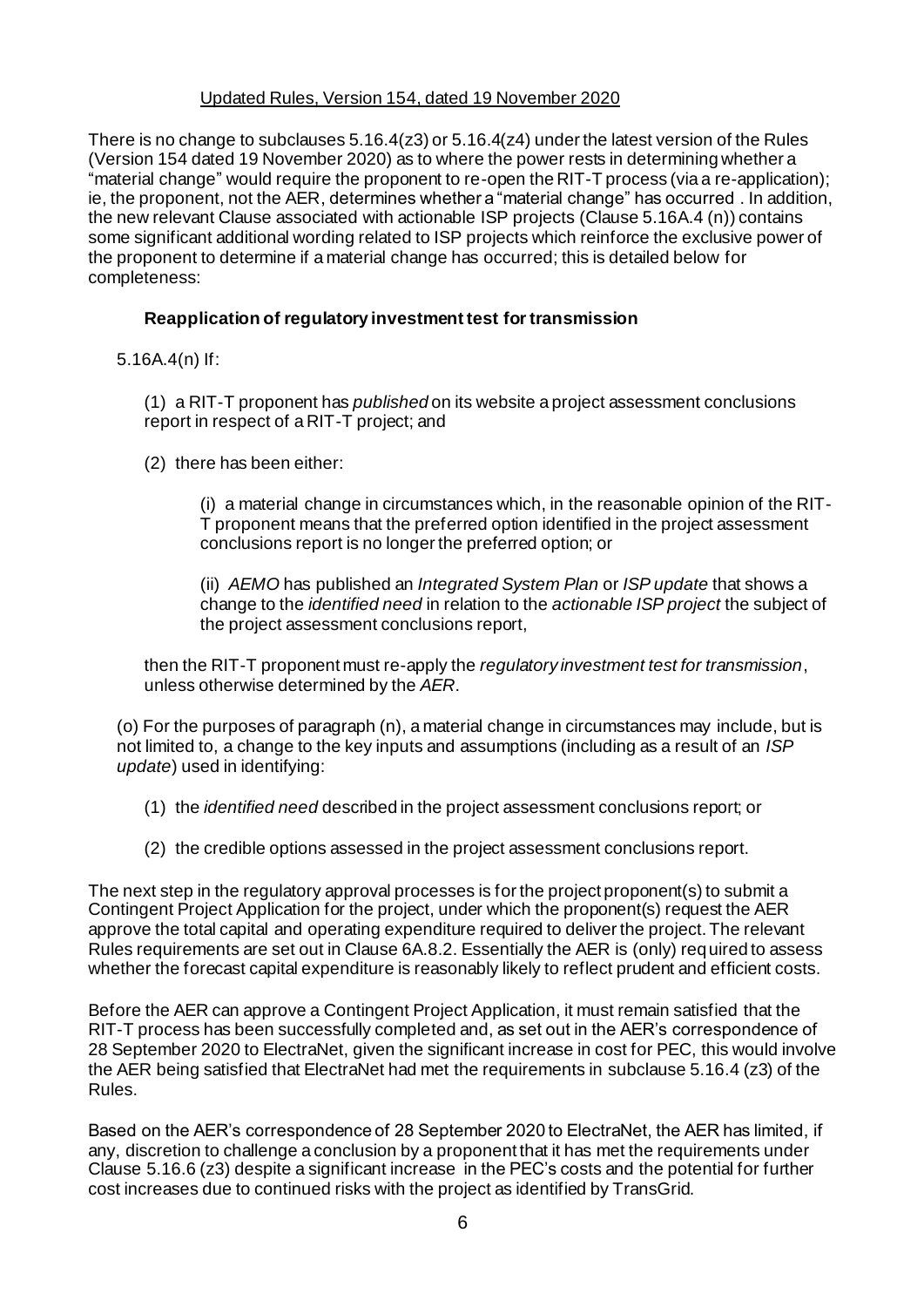#### Updated Rules, Version 154, dated 19 November 2020

There is no change to subclauses 5.16.4(z3) or 5.16.4(z4) under the latest version of the Rules (Version 154 dated 19 November 2020) as to where the power rests in determining whether a "material change" would require the proponent to re-open the RIT-T process (via a re-application); ie, the proponent, not the AER, determines whether a "material change" has occurred . In addition, the new relevant Clause associated with actionable ISP projects (Clause 5.16A.4 (n)) contains some significant additional wording related to ISP projects which reinforce the exclusive power of the proponent to determine if a material change has occurred; this is detailed below for completeness:

## **Reapplication of regulatory investment test for transmission**

5.16A.4(n) If:

(1) a RIT-T proponent has *published* on its website a project assessment conclusions report in respect of a RIT-T project; and

(2) there has been either:

(i) a material change in circumstances which, in the reasonable opinion of the RIT-T proponent means that the preferred option identified in the project assessment conclusions report is no longer the preferred option; or

(ii) *AEMO* has published an *Integrated System Plan* or *ISP update* that shows a change to the *identified need* in relation to the *actionable ISP project* the subject of the project assessment conclusions report,

then the RIT-T proponent must re-apply the *regulatory investment test for transmission*, unless otherwise determined by the *AER*.

(o) For the purposes of paragraph (n), a material change in circumstances may include, but is not limited to, a change to the key inputs and assumptions (including as a result of an *ISP update*) used in identifying:

- (1) the *identified need* described in the project assessment conclusions report; or
- (2) the credible options assessed in the project assessment conclusions report.

The next step in the regulatory approval processes is for the project proponent(s) to submit a Contingent Project Application for the project, under which the proponent(s) request the AER approve the total capital and operating expenditure required to deliver the project. The relevant Rules requirements are set out in Clause 6A.8.2. Essentially the AER is (only) required to assess whether the forecast capital expenditure is reasonably likely to reflect prudent and efficient costs.

Before the AER can approve a Contingent Project Application, it must remain satisfied that the RIT-T process has been successfully completed and, as set out in the AER's correspondence of 28 September 2020 to ElectraNet, given the significant increase in cost for PEC, this would involve the AER being satisfied that ElectraNet had met the requirements in subclause 5.16.4 (z3) of the Rules.

Based on the AER's correspondence of 28 September 2020 to ElectraNet, the AER has limited, if any, discretion to challenge a conclusion by a proponent that it has met the requirements under Clause 5.16.6 (z3) despite a significant increase in the PEC's costs and the potential for further cost increases due to continued risks with the project as identified by TransGrid.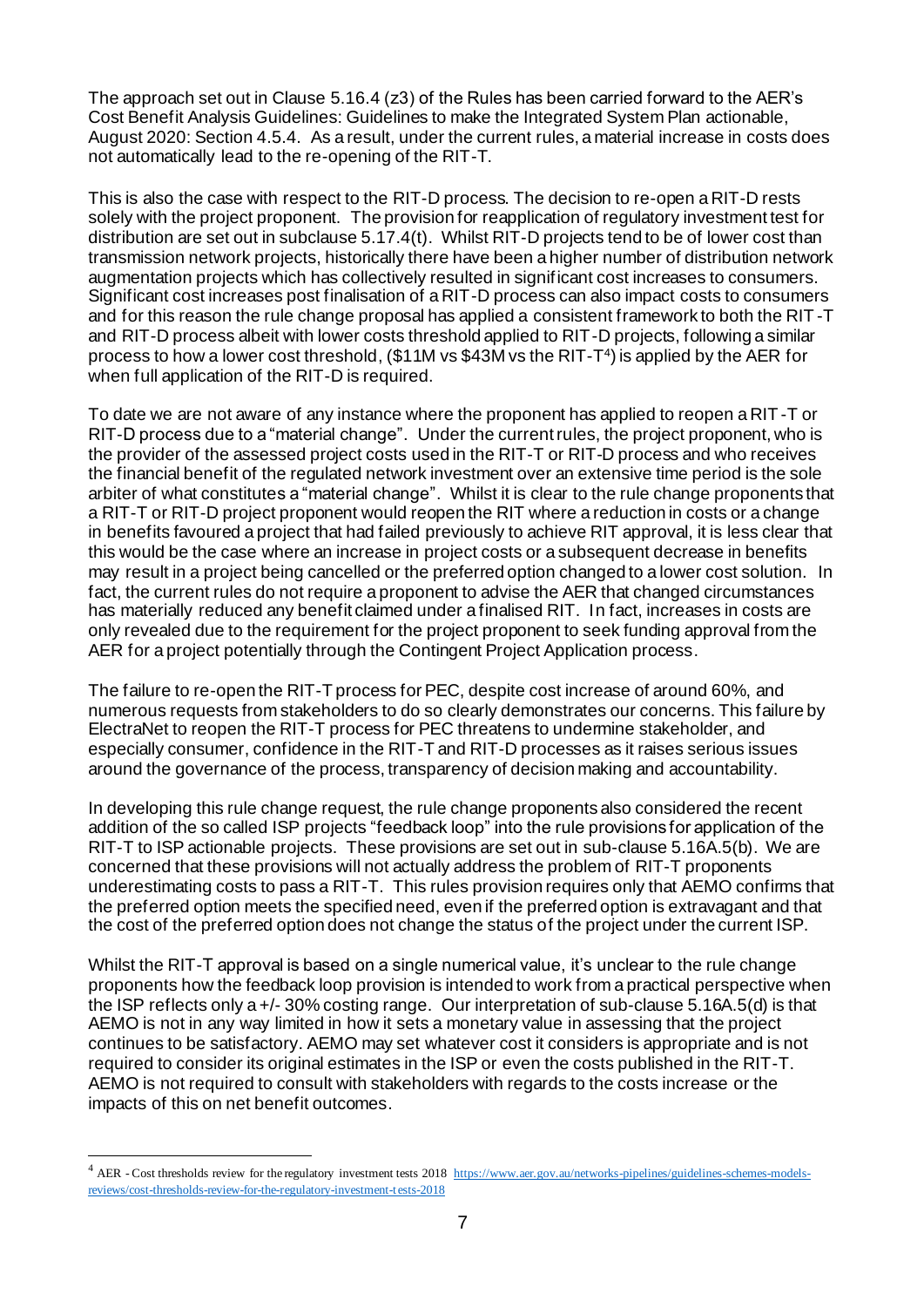The approach set out in Clause 5.16.4 (z3) of the Rules has been carried forward to the AER's Cost Benefit Analysis Guidelines: Guidelines to make the Integrated System Plan actionable, August 2020: Section 4.5.4. As a result, under the current rules, a material increase in costs does not automatically lead to the re-opening of the RIT-T.

This is also the case with respect to the RIT-D process. The decision to re-open a RIT-D rests solely with the project proponent. The provision for reapplication of regulatory investment test for distribution are set out in subclause 5.17.4(t). Whilst RIT-D projects tend to be of lower cost than transmission network projects, historically there have been a higher number of distribution network augmentation projects which has collectively resulted in significant cost increases to consumers. Significant cost increases post finalisation of a RIT-D process can also impact costs to consumers and for this reason the rule change proposal has applied a consistent framework to both the RIT -T and RIT-D process albeit with lower costs threshold applied to RIT-D projects, following a similar process to how a lower cost threshold, (\$11M vs \$43M vs the RIT-T<sup>4</sup>) is applied by the AER for when full application of the RIT-D is required.

To date we are not aware of any instance where the proponent has applied to reopen a RIT -T or RIT-D process due to a "material change". Under the current rules, the project proponent, who is the provider of the assessed project costs used in the RIT-T or RIT-D process and who receives the financial benefit of the regulated network investment over an extensive time period is the sole arbiter of what constitutes a "material change". Whilst it is clear to the rule change proponents that a RIT-T or RIT-D project proponent would reopen the RIT where a reduction in costs or a change in benefits favoured a project that had failed previously to achieve RIT approval, it is less clear that this would be the case where an increase in project costs or a subsequent decrease in benefits may result in a project being cancelled or the preferred option changed to a lower cost solution. In fact, the current rules do not require a proponent to advise the AER that changed circumstances has materially reduced any benefit claimed under a finalised RIT. In fact, increases in costs are only revealed due to the requirement for the project proponent to seek funding approval from the AER for a project potentially through the Contingent Project Application process.

The failure to re-open the RIT-T process for PEC, despite cost increase of around 60%, and numerous requests from stakeholders to do so clearly demonstrates our concerns. This failure by ElectraNet to reopen the RIT-T process for PEC threatens to undermine stakeholder, and especially consumer, confidence in the RIT-T and RIT-D processes as it raises serious issues around the governance of the process, transparency of decision making and accountability.

In developing this rule change request, the rule change proponents also considered the recent addition of the so called ISP projects "feedback loop" into the rule provisions for application of the RIT-T to ISP actionable projects. These provisions are set out in sub-clause 5.16A.5(b). We are concerned that these provisions will not actually address the problem of RIT-T proponents underestimating costs to pass a RIT-T. This rules provision requires only that AEMO confirms that the preferred option meets the specified need, even if the preferred option is extravagant and that the cost of the preferred option does not change the status of the project under the current ISP.

Whilst the RIT-T approval is based on a single numerical value, it's unclear to the rule change proponents how the feedback loop provision is intended to work from a practical perspective when the ISP reflects only a +/- 30% costing range. Our interpretation of sub-clause 5.16A.5(d) is that AEMO is not in any way limited in how it sets a monetary value in assessing that the project continues to be satisfactory. AEMO may set whatever cost it considers is appropriate and is not required to consider its original estimates in the ISP or even the costs published in the RIT-T. AEMO is not required to consult with stakeholders with regards to the costs increase or the impacts of this on net benefit outcomes.

<sup>&</sup>lt;sup>4</sup> AER - Cost thresholds review for the regulatory investment tests 2018 [https://www.aer.gov.au/networks-pipelines/guidelines-schemes-models](https://www.aer.gov.au/networks-pipelines/guidelines-schemes-models-reviews/cost-thresholds-review-for-the-regulatory-investment-tests-2018)[reviews/cost-thresholds-review-for-the-regulatory-investment-tests-2018](https://www.aer.gov.au/networks-pipelines/guidelines-schemes-models-reviews/cost-thresholds-review-for-the-regulatory-investment-tests-2018)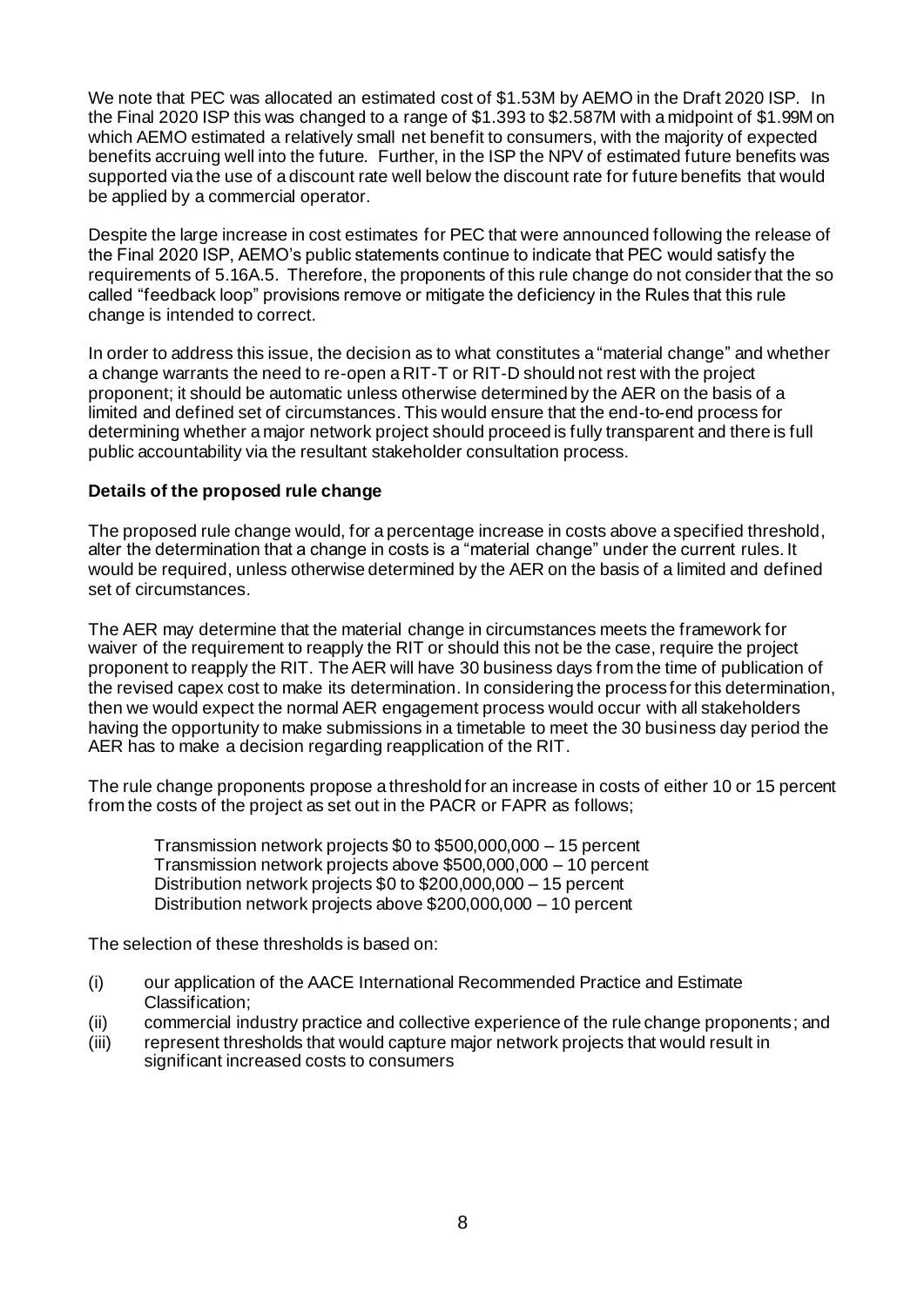We note that PEC was allocated an estimated cost of \$1.53M by AEMO in the Draft 2020 ISP. In the Final 2020 ISP this was changed to a range of \$1.393 to \$2.587M with a midpoint of \$1.99M on which AEMO estimated a relatively small net benefit to consumers, with the majority of expected benefits accruing well into the future. Further, in the ISP the NPV of estimated future benefits was supported via the use of a discount rate well below the discount rate for future benefits that would be applied by a commercial operator.

Despite the large increase in cost estimates for PEC that were announced following the release of the Final 2020 ISP, AEMO's public statements continue to indicate that PEC would satisfy the requirements of 5.16A.5. Therefore, the proponents of this rule change do not consider that the so called "feedback loop" provisions remove or mitigate the deficiency in the Rules that this rule change is intended to correct.

In order to address this issue, the decision as to what constitutes a "material change" and whether a change warrants the need to re-open a RIT-T or RIT-D should not rest with the project proponent; it should be automatic unless otherwise determined by the AER on the basis of a limited and defined set of circumstances. This would ensure that the end-to-end process for determining whether a major network project should proceed is fully transparent and there is full public accountability via the resultant stakeholder consultation process.

#### **Details of the proposed rule change**

The proposed rule change would, for a percentage increase in costs above a specified threshold, alter the determination that a change in costs is a "material change" under the current rules. It would be required, unless otherwise determined by the AER on the basis of a limited and defined set of circumstances.

The AER may determine that the material change in circumstances meets the framework for waiver of the requirement to reapply the RIT or should this not be the case, require the project proponent to reapply the RIT. The AER will have 30 business days from the time of publication of the revised capex cost to make its determination. In considering the process for this determination, then we would expect the normal AER engagement process would occur with all stakeholders having the opportunity to make submissions in a timetable to meet the 30 business day period the AER has to make a decision regarding reapplication of the RIT.

The rule change proponents propose a threshold for an increase in costs of either 10 or 15 percent from the costs of the project as set out in the PACR or FAPR as follows;

Transmission network projects \$0 to \$500,000,000 – 15 percent Transmission network projects above \$500,000,000 – 10 percent Distribution network projects \$0 to \$200,000,000 – 15 percent Distribution network projects above \$200,000,000 – 10 percent

The selection of these thresholds is based on:

- (i) our application of the AACE International Recommended Practice and Estimate Classification;
- (ii) commercial industry practice and collective experience of the rule change proponents; and
- (iii) represent thresholds that would capture major network projects that would result in significant increased costs to consumers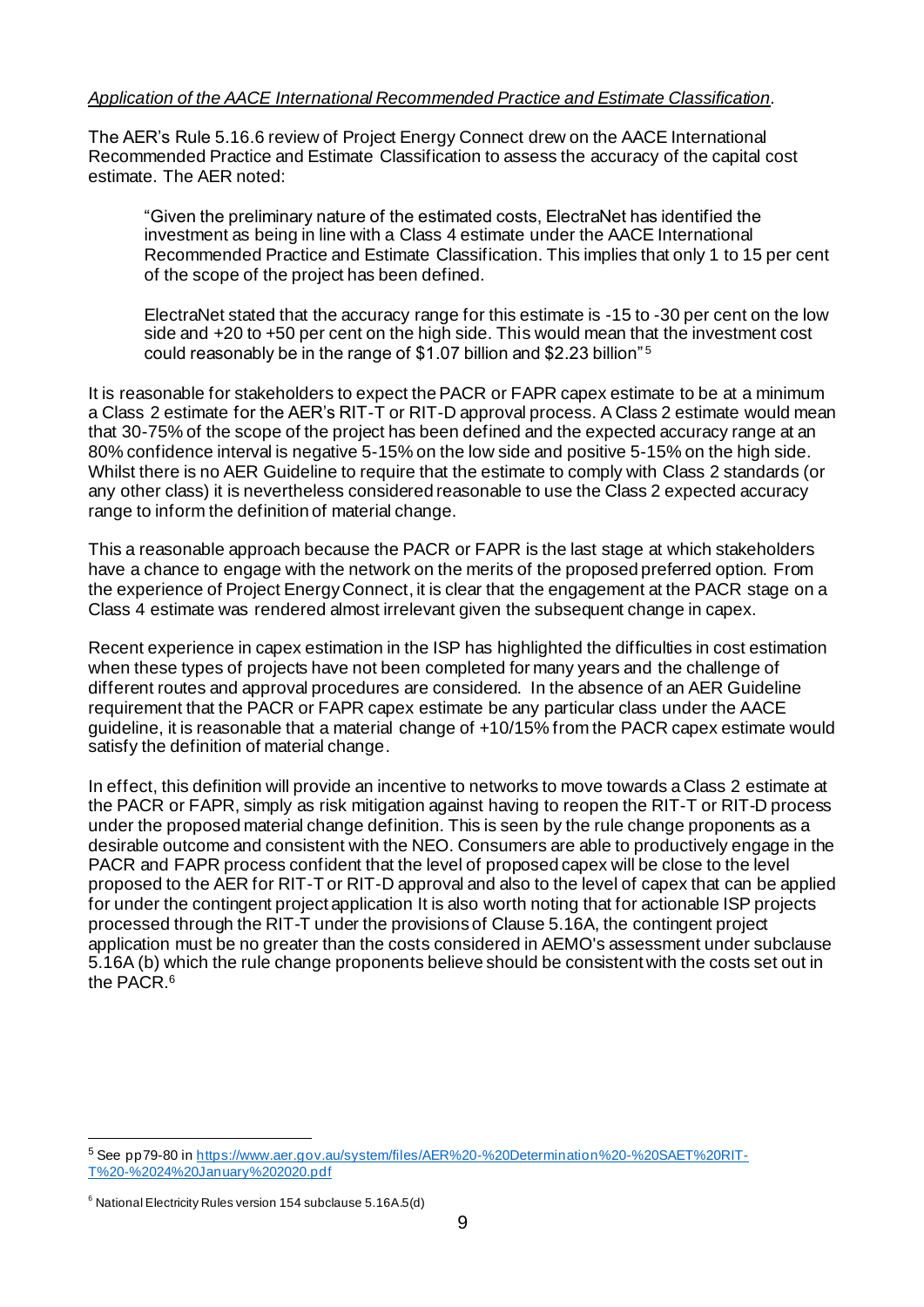#### *Application of the AACE International Recommended Practice and Estimate Classification.*

The AER's Rule [5.16.6 review of Project Energy Connect](https://www.aer.gov.au/system/files/AER%20-%20Determination%20-%20SAET%20RIT-T%20-%2024%20January%202020.pdf) drew on the AACE International Recommended Practice and Estimate Classification to assess the accuracy of the capital cost estimate. The AER noted:

"Given the preliminary nature of the estimated costs, ElectraNet has identified the investment as being in line with a Class 4 estimate under the AACE International Recommended Practice and Estimate Classification. This implies that only 1 to 15 per cent of the scope of the project has been defined.

ElectraNet stated that the accuracy range for this estimate is -15 to -30 per cent on the low side and +20 to +50 per cent on the high side. This would mean that the investment cost could reasonably be in the range of \$1.07 billion and \$2.23 billion" <sup>5</sup>

It is reasonable for stakeholders to expect the PACR or FAPR capex estimate to be at a minimum a Class 2 estimate for the AER's RIT-T or RIT-D approval process. A Class 2 estimate would mean that 30-75% of the scope of the project has been defined and the expected accuracy range at an 80% confidence interval is negative 5-15% on the low side and positive 5-15% on the high side. Whilst there is no AER Guideline to require that the estimate to comply with Class 2 standards (or any other class) it is nevertheless considered reasonable to use the Class 2 expected accuracy range to inform the definition of material change.

This a reasonable approach because the PACR or FAPR is the last stage at which stakeholders have a chance to engage with the network on the merits of the proposed preferred option. From the experience of Project Energy Connect, it is clear that the engagement at the PACR stage on a Class 4 estimate was rendered almost irrelevant given the subsequent change in capex.

Recent experience in capex estimation in the ISP has highlighted the difficulties in cost estimation when these types of projects have not been completed for many years and the challenge of different routes and approval procedures are considered. In the absence of an AER Guideline requirement that the PACR or FAPR capex estimate be any particular class under the AACE guideline, it is reasonable that a material change of +10/15% from the PACR capex estimate would satisfy the definition of material change.

In effect, this definition will provide an incentive to networks to move towards a Class 2 estimate at the PACR or FAPR, simply as risk mitigation against having to reopen the RIT-T or RIT-D process under the proposed material change definition. This is seen by the rule change proponents as a desirable outcome and consistent with the NEO. Consumers are able to productively engage in the PACR and FAPR process confident that the level of proposed capex will be close to the level proposed to the AER for RIT-T or RIT-D approval and also to the level of capex that can be applied for under the contingent project application It is also worth noting that for actionable ISP projects processed through the RIT-T under the provisions of Clause 5.16A, the contingent project application must be no greater than the costs considered in AEMO's assessment under subclause 5.16A (b) which the rule change proponents believe should be consistent with the costs set out in the PACR 6

<sup>5</sup> See pp79-80 i[n https://www.aer.gov.au/system/files/AER%20-%20Determination%20-%20SAET%20RIT-](https://www.aer.gov.au/system/files/AER%20-%20Determination%20-%20SAET%20RIT-T%20-%2024%20January%202020.pdf)[T%20-%2024%20January%202020.pdf](https://www.aer.gov.au/system/files/AER%20-%20Determination%20-%20SAET%20RIT-T%20-%2024%20January%202020.pdf)

 $6$  National Electricity Rules version 154 subclause 5.16A.5(d)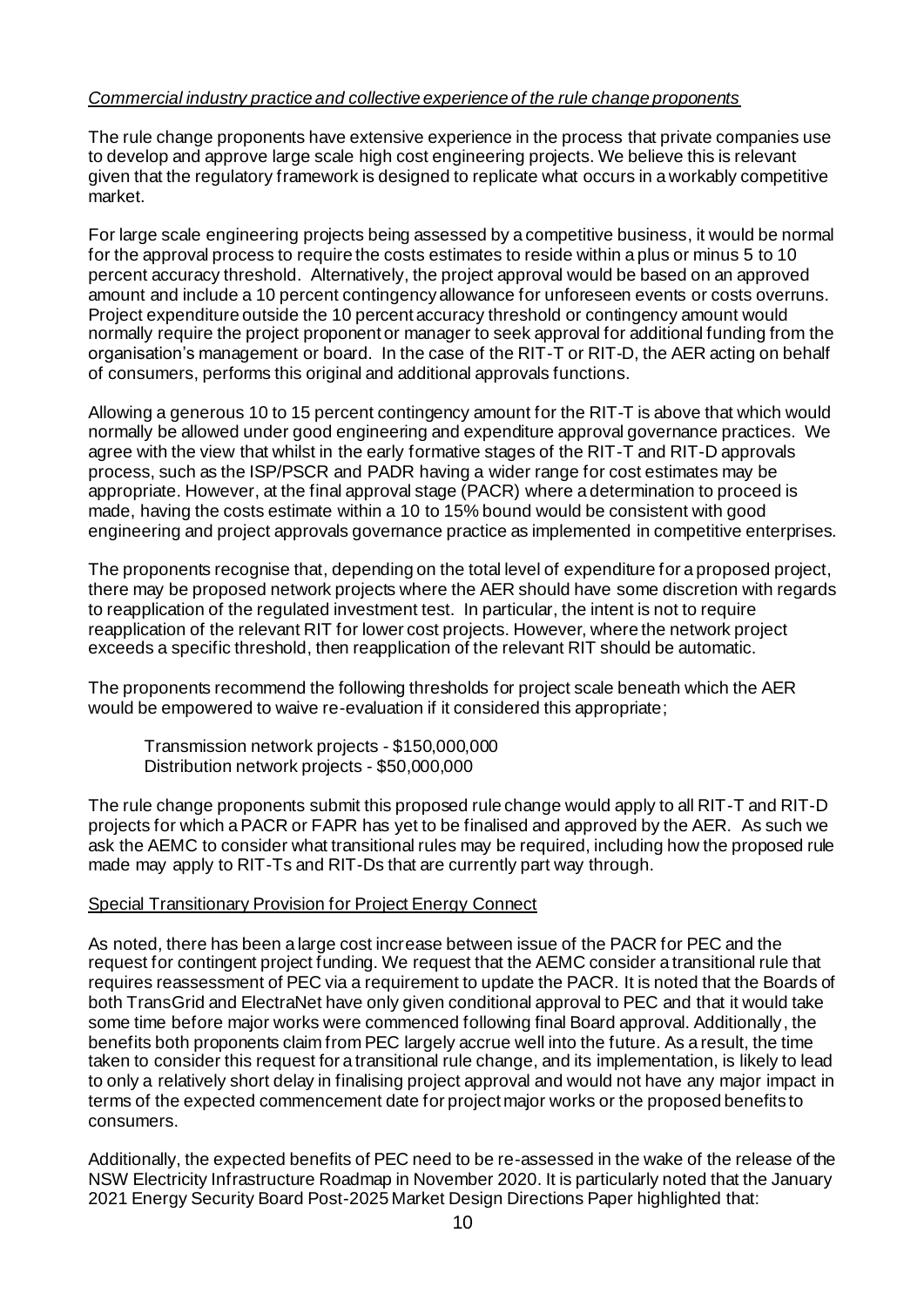#### *Commercial industry practice and collective experience of the rule change proponents*

The rule change proponents have extensive experience in the process that private companies use to develop and approve large scale high cost engineering projects. We believe this is relevant given that the regulatory framework is designed to replicate what occurs in a workably competitive market.

For large scale engineering projects being assessed by a competitive business, it would be normal for the approval process to require the costs estimates to reside within a plus or minus 5 to 10 percent accuracy threshold. Alternatively, the project approval would be based on an approved amount and include a 10 percent contingency allowance for unforeseen events or costs overruns. Project expenditure outside the 10 percent accuracy threshold or contingency amount would normally require the project proponent or manager to seek approval for additional funding from the organisation's management or board. In the case of the RIT-T or RIT-D, the AER acting on behalf of consumers, performs this original and additional approvals functions.

Allowing a generous 10 to 15 percent contingency amount for the RIT-T is above that which would normally be allowed under good engineering and expenditure approval governance practices. We agree with the view that whilst in the early formative stages of the RIT-T and RIT-D approvals process, such as the ISP/PSCR and PADR having a wider range for cost estimates may be appropriate. However, at the final approval stage (PACR) where a determination to proceed is made, having the costs estimate within a 10 to 15% bound would be consistent with good engineering and project approvals governance practice as implemented in competitive enterprises.

The proponents recognise that, depending on the total level of expenditure for a proposed project, there may be proposed network projects where the AER should have some discretion with regards to reapplication of the regulated investment test. In particular, the intent is not to require reapplication of the relevant RIT for lower cost projects. However, where the network project exceeds a specific threshold, then reapplication of the relevant RIT should be automatic.

The proponents recommend the following thresholds for project scale beneath which the AER would be empowered to waive re-evaluation if it considered this appropriate;

Transmission network projects - \$150,000,000 Distribution network projects - \$50,000,000

The rule change proponents submit this proposed rule change would apply to all RIT-T and RIT-D projects for which a PACR or FAPR has yet to be finalised and approved by the AER. As such we ask the AEMC to consider what transitional rules may be required, including how the proposed rule made may apply to RIT-Ts and RIT-Ds that are currently part way through.

#### Special Transitionary Provision for Project Energy Connect

As noted, there has been a large cost increase between issue of the PACR for PEC and the request for contingent project funding. We request that the AEMC consider a transitional rule that requires reassessment of PEC via a requirement to update the PACR. It is noted that the Boards of both TransGrid and ElectraNet have only given conditional approval to PEC and that it would take some time before major works were commenced following final Board approval. Additionally, the benefits both proponents claim from PEC largely accrue well into the future. As a result, the time taken to consider this request for a transitional rule change, and its implementation, is likely to lead to only a relatively short delay in finalising project approval and would not have any major impact in terms of the expected commencement date for project major works or the proposed benefits to consumers.

Additionally, the expected benefits of PEC need to be re-assessed in the wake of the release of the NSW Electricity Infrastructure Roadmap in November 2020. It is particularly noted that the January 2021 Energy Security Board Post-2025 Market Design Directions Paper highlighted that: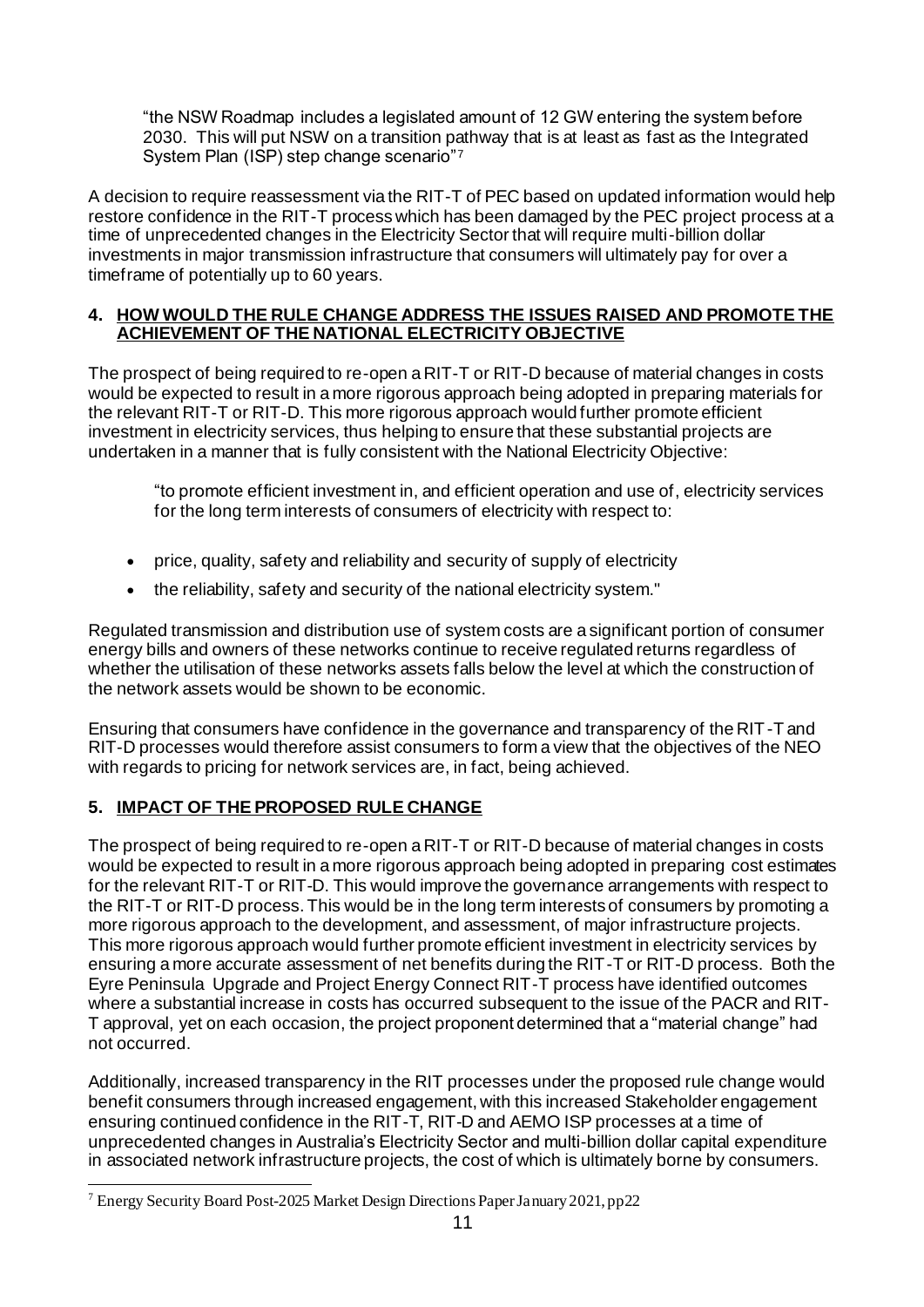"the NSW Roadmap includes a legislated amount of 12 GW entering the system before 2030. This will put NSW on a transition pathway that is at least as fast as the Integrated System Plan (ISP) step change scenario"<sup>7</sup>

A decision to require reassessment via the RIT-T of PEC based on updated information would help restore confidence in the RIT-T process which has been damaged by the PEC project process at a time of unprecedented changes in the Electricity Sector that will require multi-billion dollar investments in major transmission infrastructure that consumers will ultimately pay for over a timeframe of potentially up to 60 years.

#### **4. HOW WOULD THE RULE CHANGE ADDRESS THE ISSUES RAISED AND PROMOTE THE ACHIEVEMENT OF THE NATIONAL ELECTRICITY OBJECTIVE**

The prospect of being required to re-open a RIT-T or RIT-D because of material changes in costs would be expected to result in a more rigorous approach being adopted in preparing materials for the relevant RIT-T or RIT-D. This more rigorous approach would further promote efficient investment in electricity services, thus helping to ensure that these substantial projects are undertaken in a manner that is fully consistent with the National Electricity Objective:

"to promote efficient investment in, and efficient operation and use of, electricity services for the long term interests of consumers of electricity with respect to:

- price, quality, safety and reliability and security of supply of electricity
- the reliability, safety and security of the national electricity system."

Regulated transmission and distribution use of system costs are a significant portion of consumer energy bills and owners of these networks continue to receive regulated returns regardless of whether the utilisation of these networks assets falls below the level at which the construction of the network assets would be shown to be economic.

Ensuring that consumers have confidence in the governance and transparency of the RIT-T and RIT-D processes would therefore assist consumers to form a view that the objectives of the NEO with regards to pricing for network services are, in fact, being achieved.

# **5. IMPACT OF THE PROPOSED RULE CHANGE**

The prospect of being required to re-open a RIT-T or RIT-D because of material changes in costs would be expected to result in a more rigorous approach being adopted in preparing cost estimates for the relevant RIT-T or RIT-D. This would improve the governance arrangements with respect to the RIT-T or RIT-D process. This would be in the long term interests of consumers by promoting a more rigorous approach to the development, and assessment, of major infrastructure projects. This more rigorous approach would further promote efficient investment in electricity services by ensuring a more accurate assessment of net benefits during the RIT-T or RIT-D process. Both the Eyre Peninsula Upgrade and Project Energy Connect RIT-T process have identified outcomes where a substantial increase in costs has occurred subsequent to the issue of the PACR and RIT-T approval, yet on each occasion, the project proponent determined that a "material change" had not occurred.

Additionally, increased transparency in the RIT processes under the proposed rule change would benefit consumers through increased engagement, with this increased Stakeholder engagement ensuring continued confidence in the RIT-T, RIT-D and AEMO ISP processes at a time of unprecedented changes in Australia's Electricity Sector and multi-billion dollar capital expenditure in associated network infrastructure projects, the cost of which is ultimately borne by consumers.

<sup>7</sup> Energy Security Board Post-2025 Market Design Directions Paper January 2021, pp22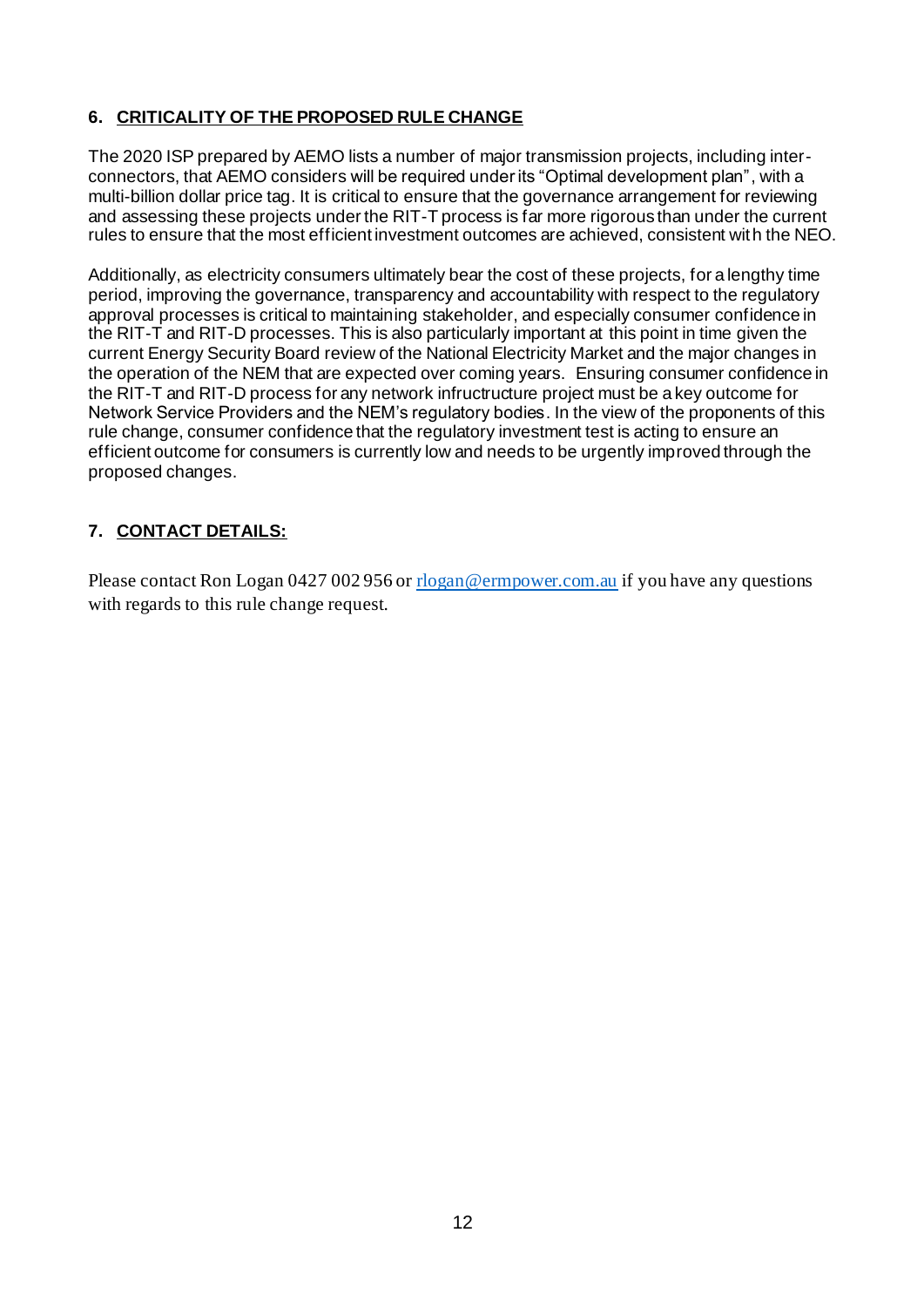# **6. CRITICALITY OF THE PROPOSED RULE CHANGE**

The 2020 ISP prepared by AEMO lists a number of major transmission projects, including interconnectors, that AEMO considers will be required under its "Optimal development plan", with a multi-billion dollar price tag. It is critical to ensure that the governance arrangement for reviewing and assessing these projects under the RIT-T process is far more rigorous than under the current rules to ensure that the most efficient investment outcomes are achieved, consistent with the NEO.

Additionally, as electricity consumers ultimately bear the cost of these projects, for a lengthy time period, improving the governance, transparency and accountability with respect to the regulatory approval processes is critical to maintaining stakeholder, and especially consumer confidence in the RIT-T and RIT-D processes. This is also particularly important at this point in time given the current Energy Security Board review of the National Electricity Market and the major changes in the operation of the NEM that are expected over coming years. Ensuring consumer confidence in the RIT-T and RIT-D process for any network infructructure project must be a key outcome for Network Service Providers and the NEM's regulatory bodies. In the view of the proponents of this rule change, consumer confidence that the regulatory investment test is acting to ensure an efficient outcome for consumers is currently low and needs to be urgently improved through the proposed changes.

# **7. CONTACT DETAILS:**

Please contact Ron Logan 0427 002 956 o[r rlogan@ermpower.com.au](mailto:rlogan@ermpower.com.au) if you have any questions with regards to this rule change request.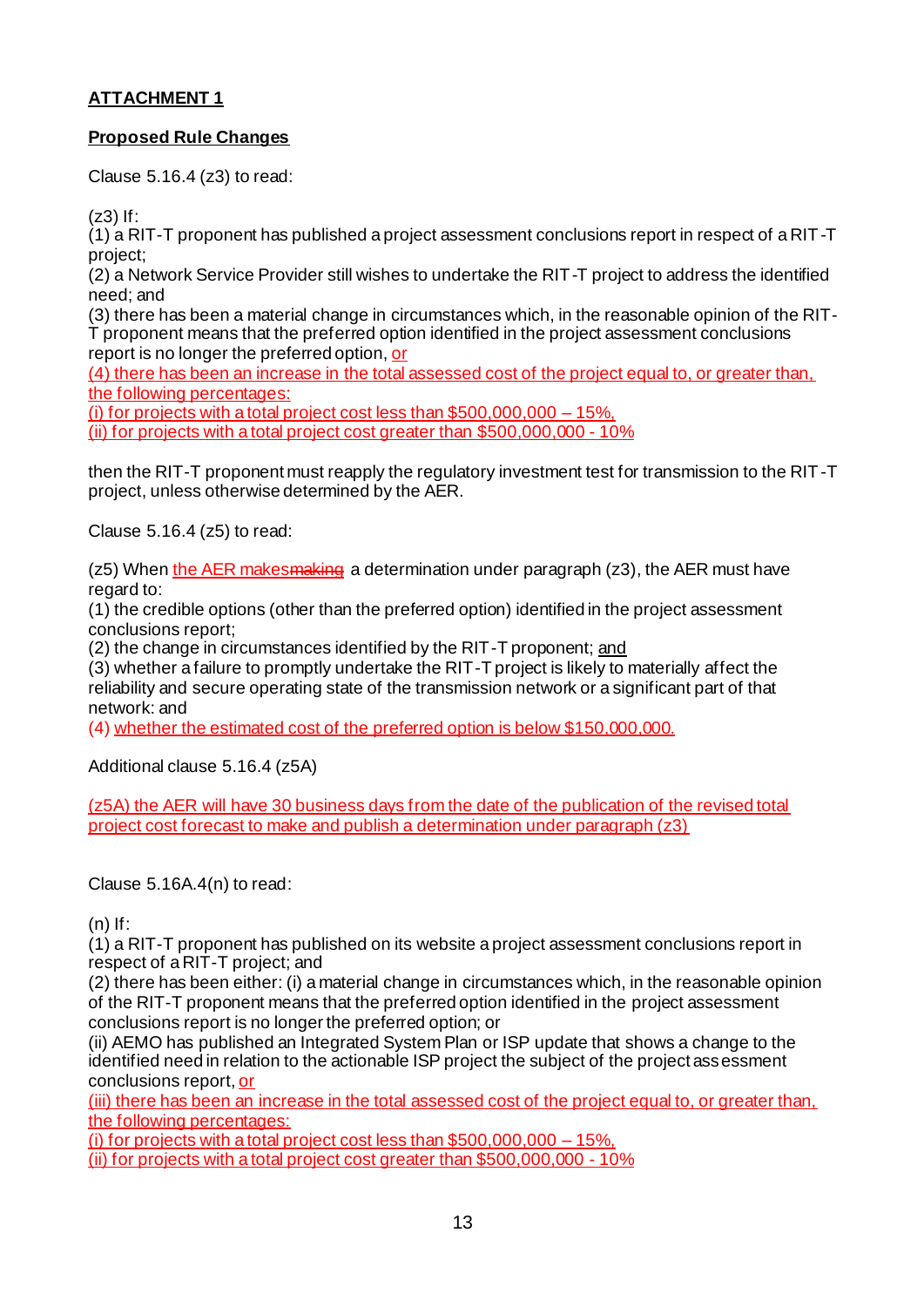## **ATTACHMENT 1**

### **Proposed Rule Changes**

Clause 5.16.4 (z3) to read:

(z3) If:

(1) a RIT-T proponent has published a project assessment conclusions report in respect of a RIT-T project;

(2) a Network Service Provider still wishes to undertake the RIT-T project to address the identified need; and

(3) there has been a material change in circumstances which, in the reasonable opinion of the RIT-T proponent means that the preferred option identified in the project assessment conclusions report is no longer the preferred option, or

(4) there has been an increase in the total assessed cost of the project equal to, or greater than, the following percentages:

(i) for projects with a total project cost less than  $$500,000,000 - 15\%$ . (ii) for projects with a total project cost greater than \$500,000,000 - 10%

then the RIT-T proponent must reapply the regulatory investment test for transmission to the RIT-T project, unless otherwise determined by the AER.

Clause 5.16.4 (z5) to read:

 $(25)$  When the AER makes making a determination under paragraph  $(23)$ , the AER must have regard to:

(1) the credible options (other than the preferred option) identified in the project assessment conclusions report;

(2) the change in circumstances identified by the RIT-T proponent; and

(3) whether a failure to promptly undertake the RIT-T project is likely to materially affect the reliability and secure operating state of the transmission network or a significant part of that network: and

(4) whether the estimated cost of the preferred option is below \$150,000,000.

Additional clause 5.16.4 (z5A)

(z5A) the AER will have 30 business days from the date of the publication of the revised total project cost forecast to make and publish a determination under paragraph (z3)

Clause 5.16A.4(n) to read:

 $(n)$  If:

(1) a RIT-T proponent has published on its website a project assessment conclusions report in respect of a RIT-T project; and

(2) there has been either: (i) a material change in circumstances which, in the reasonable opinion of the RIT-T proponent means that the preferred option identified in the project assessment conclusions report is no longer the preferred option; or

(ii) AEMO has published an Integrated System Plan or ISP update that shows a change to the identified need in relation to the actionable ISP project the subject of the project assessment conclusions report, or

(iii) there has been an increase in the total assessed cost of the project equal to, or greater than, the following percentages:

(i) for projects with a total project cost less than \$500,000,000 – 15%,

(ii) for projects with a total project cost greater than \$500,000,000 - 10%